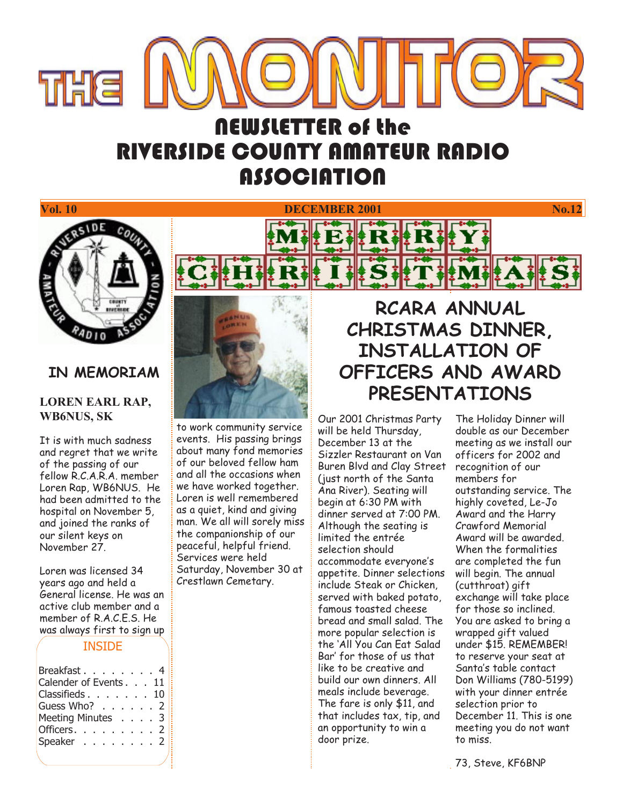

# **NEWSLETTER of the RIVERSIDE COUNTY AMATEUR RADIO ASSOCIATION**



## **IN MEMORIAM**

### **LOREN EARL RAP, WB6NUS, SK**

It is with much sadness and regret that we write of the passing of our fellow R.C.A.R.A. member Loren Rap, WB6NUS. He had been admitted to the hospital on November 5, and joined the ranks of our silent keys on November 27.

Loren was licensed 34 years ago and held a General license. He was an active club member and a member of R.A.C.E.S. He was always first to sign up

#### **INSIDE**

| Breakfast. 4          |  |  |  |  |  |
|-----------------------|--|--|--|--|--|
| Calender of Events 11 |  |  |  |  |  |
| Classifieds. 10       |  |  |  |  |  |
| Guess Who? 2          |  |  |  |  |  |
| Meeting Minutes 3     |  |  |  |  |  |
| Officers. $\ldots$ 2  |  |  |  |  |  |
| Speaker 2             |  |  |  |  |  |
|                       |  |  |  |  |  |



to work community service events. His passing brings about many fond memories of our beloved fellow ham and all the occasions when we have worked together. Loren is well remembered as a quiet, kind and giving man. We all will sorely miss the companionship of our peaceful, helpful friend. Services were held Saturday, November 30 at Crestlawn Cemetary.

## **RCARA ANNUAL CHRISTMAS DINNER, INSTALLATION OF OFFICERS AND AWARD PRESENTATIONS**

Our 2001 Christmas Party will be held Thursday, December 13 at the Sizzler Restaurant on Van Buren Blvd and Clay Street (just north of the Santa Ana River). Seating will begin at 6:30 PM with dinner served at 7:00 PM. Although the seating is limited the entrée selection should accommodate everyone's appetite. Dinner selections include Steak or Chicken, served with baked potato, famous toasted cheese bread and small salad. The more popular selection is the 'All You Can Eat Salad Bar' for those of us that like to be creative and build our own dinners. All meals include beverage. The fare is only \$11, and that includes tax, tip, and an opportunity to win a door prize.

The Holiday Dinner will double as our December meeting as we install our officers for 2002 and recognition of our members for outstanding service. The highly coveted, Le-Jo Award and the Harry Crawford Memorial Award will be awarded. When the formalities are completed the fun will begin. The annual (cutthroat) gift exchange will take place for those so inclined. You are asked to bring a wrapped gift valued under \$15. REMEMBER! to reserve your seat at Santa's table contact Don Williams (780-5199) with your dinner entrée selection prior to December 11. This is one meeting you do not want to miss.

73, Steve, KF6BNP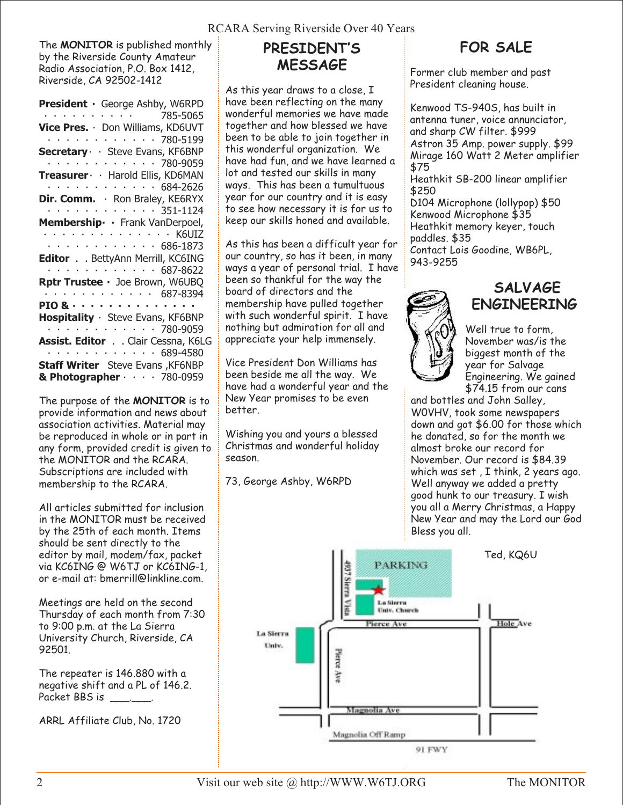The **MONITOR** is published monthly by the Riverside County Amateur Radio Association, P.O. Box 1412, Riverside, CA 92502-1412

The purpose of the **MONITOR** is to provide information and news about association activities. Material may be reproduced in whole or in part in any form, provided credit is given to the MONITOR and the RCARA. Subscriptions are included with membership to the RCARA.

All articles submitted for inclusion in the MONITOR must be received by the 25th of each month. Items should be sent directly to the editor by mail, modem/fax, packet via KC6ING @ W6TJ or KC6ING-1, or e-mail at: bmerrill@linkline.com.

Meetings are held on the second Thursday of each month from 7:30 to 9:00 p.m. at the La Sierra University Church, Riverside, CA 92501.

The repeater is 146.880 with a negative shift and a PL of 146.2. Packet BBS is

ARRL Affiliate Club, No. 1720

## **PRESIDENT'S MESSAGE**

As this year draws to a close, I have been reflecting on the many wonderful memories we have made together and how blessed we have been to be able to join together in this wonderful organization. We have had fun, and we have learned a lot and tested our skills in many ways. This has been a tumultuous year for our country and it is easy to see how necessary it is for us to keep our skills honed and available.

As this has been a difficult year for our country, so has it been, in many ways a year of personal trial. I have been so thankful for the way the board of directors and the membership have pulled together with such wonderful spirit. I have nothing but admiration for all and appreciate your help immensely.

Vice President Don Williams has been beside me all the way. We have had a wonderful year and the New Year promises to be even better.

Wishing you and yours a blessed Christmas and wonderful holiday season.

73, George Ashby, W6RPD

## **FOR SALE**

Former club member and past President cleaning house.

Kenwood TS-940S, has built in antenna tuner, voice annunciator, and sharp CW filter. \$999 Astron 35 Amp. power supply. \$99 Mirage 160 Watt 2 Meter amplifier \$75

Heathkit SB-200 linear amplifier \$250

D104 Microphone (lollypop) \$50 Kenwood Microphone \$35 Heathkit memory keyer, touch paddles. \$35 Contact Lois Goodine, WB6PL, 943-9255



## **SALVAGE ENGINEERING**

Well true to form, November was/is the biggest month of the year for Salvage Engineering. We gained \$74.15 from our cans

and bottles and John Salley, W0VHV, took some newspapers down and got \$6.00 for those which he donated, so for the month we almost broke our record for November. Our record is \$84.39 which was set , I think, 2 years ago. Well anyway we added a pretty good hunk to our treasury. I wish you all a Merry Christmas, a Happy New Year and may the Lord our God Bless you all.



2 Visit our web site @ http://WWW.W6TJ.ORG The MONITOR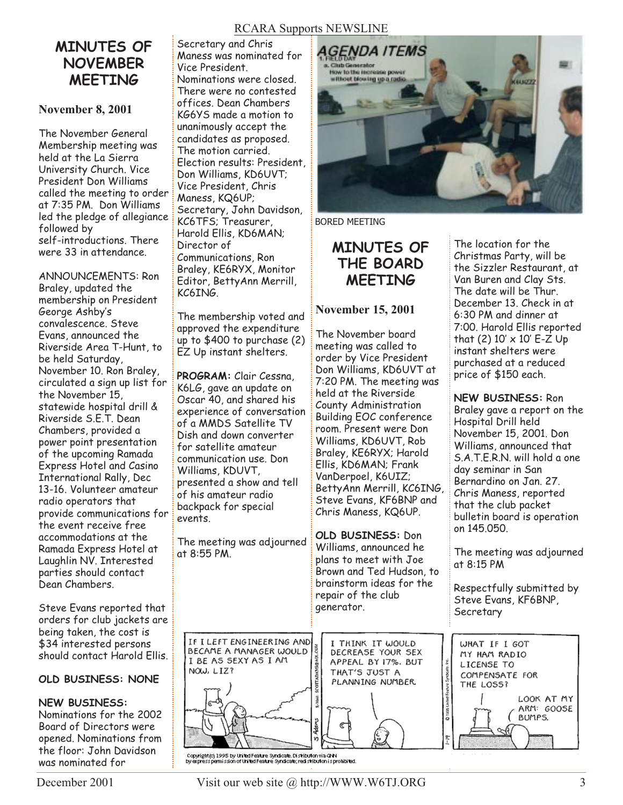## **MINUTES OF NOVEMBER MEETING**

### **November 8, 2001**

The November General Membership meeting was held at the La Sierra University Church. Vice President Don Williams called the meeting to order at 7:35 PM. Don Williams led the pledge of allegiance followed by self-introductions. There were 33 in attendance.

ANNOUNCEMENTS: Ron Braley, updated the membership on President George Ashby's convalescence. Steve Evans, announced the Riverside Area T-Hunt, to be held Saturday, November 10. Ron Braley, circulated a sign up list for the November 15, statewide hospital drill & Riverside S.E.T. Dean Chambers, provided a power point presentation of the upcoming Ramada Express Hotel and Casino International Rally, Dec 13-16. Volunteer amateur radio operators that provide communications for the event receive free accommodations at the Ramada Express Hotel at Laughlin NV. Interested parties should contact Dean Chambers.

Steve Evans reported that orders for club jackets are being taken, the cost is \$34 interested persons should contact Harold Ellis.

### **OLD BUSINESS: NONE**

### **NEW BUSINESS:**

Nominations for the 2002 Board of Directors were opened. Nominations from the floor: John Davidson was nominated for

Secretary and Chris Maness was nominated for Vice President. Nominations were closed. There were no contested offices. Dean Chambers KG6YS made a motion to unanimously accept the candidates as proposed. The motion carried. Election results: President, Don Williams, KD6UVT; Vice President, Chris Maness, KQ6UP; Secretary, John Davidson, KC6TFS; Treasurer, Harold Ellis, KD6MAN; Director of Communications, Ron Braley, KE6RYX, Monitor Editor, BettyAnn Merrill, KC6ING.

The membership voted and approved the expenditure up to \$400 to purchase (2) EZ Up instant shelters.

**PROGRAM:** Clair Cessna, K6LG, gave an update on Oscar 40, and shared his experience of conversation of a MMDS Satellite TV Dish and down converter for satellite amateur communication use. Don Williams, KDUVT, presented a show and tell of his amateur radio backpack for special events.

The meeting was adjourned at 8:55 PM.

IF I LEFT ENGINEERING AND

BECAME A MANAGER WOULD

I BE AS SEXY AS I AM

NOW, LIZ?



BORED MEETING

## **MINUTES OF THE BOARD MEETING**

### **November 15, 2001**

The November board meeting was called to order by Vice President Don Williams, KD6UVT at 7:20 PM. The meeting was held at the Riverside County Administration Building EOC conference room. Present were Don Williams, KD6UVT, Rob Braley, KE6RYX; Harold Ellis, KD6MAN; Frank VanDerpoel, K6UIZ; BettyAnn Merrill, KC6ING, Steve Evans, KF6BNP and Chris Maness, KQ6UP.

**OLD BUSINESS:** Don Williams, announced he plans to meet with Joe Brown and Ted Hudson, to brainstorm ideas for the repair of the club generator.

> I THINK IT WOULD DECREASE YOUR SEX APPEAL BY 17%. BUT THAT'S JUST A PLANNING NUMBER.



.<br>Dy expright (d) 1995 by United Feature Syndicate, Distribution via GNN<br>by expressipermission of United Feature Syndicate; redistribution is prohibited.

The location for the Christmas Party, will be the Sizzler Restaurant, at Van Buren and Clay Sts. The date will be Thur. December 13. Check in at 6:30 PM and dinner at 7:00. Harold Ellis reported that (2)  $10' \times 10'$  E-Z Up instant shelters were purchased at a reduced price of \$150 each.

**NEW BUSINESS:** Ron Braley gave a report on the Hospital Drill held November 15, 2001. Don Williams, announced that S.A.T.E.R.N. will hold a one day seminar in San Bernardino on Jan. 27. Chris Maness, reported that the club packet bulletin board is operation on 145.050.

The meeting was adjourned at 8:15 PM

Respectfully submitted by Steve Evans, KF6BNP, **Secretary** 



LCOM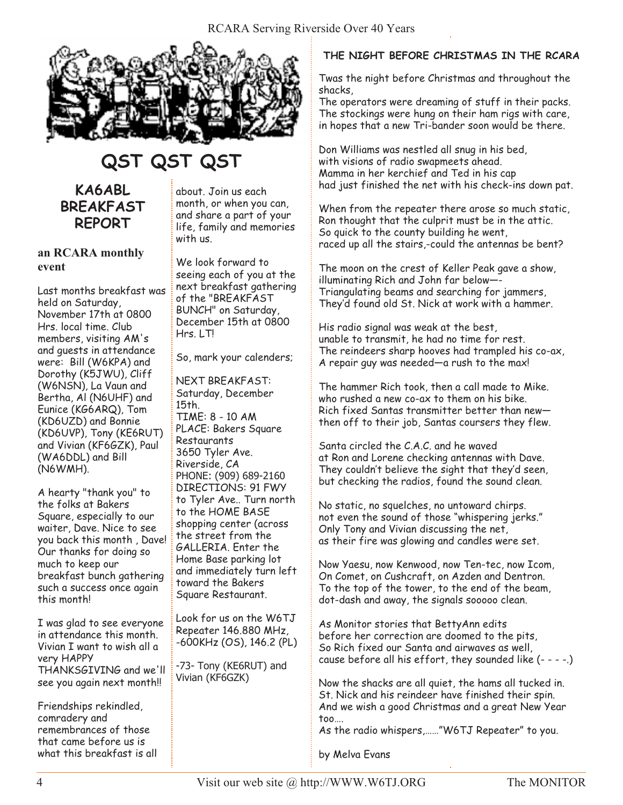

# **QST QST QST**

## **KA6ABL BREAKFAST REPORT**

### **an RCARA monthly event**

Last months breakfast was held on Saturday, November 17th at 0800 Hrs. local time. Club members, visiting AM's and guests in attendance were: Bill (W6KPA) and Dorothy (K5JWU), Cliff (W6NSN), La Vaun and Bertha, Al (N6UHF) and Eunice (KG6ARQ), Tom (KD6UZD) and Bonnie (KD6UVP), Tony (KE6RUT) and Vivian (KF6GZK), Paul (WA6DDL) and Bill (N6WMH).

A hearty "thank you" to the folks at Bakers Square, especially to our waiter, Dave. Nice to see you back this month , Dave! Our thanks for doing so much to keep our breakfast bunch gathering such a success once again this month!

I was glad to see everyone in attendance this month. Vivian I want to wish all a very HAPPY THANKSGIVING and we'll see you again next month!!

Friendships rekindled, comradery and remembrances of those that came before us is what this breakfast is all about. Join us each month, or when you can, and share a part of your life, family and memories with us.

We look forward to seeing each of you at the next breakfast gathering of the "BREAKFAST BUNCH" on Saturday, December 15th at 0800 Hrs. LT!

So, mark your calenders;

NEXT BREAKFAST: Saturday, December 15th. TIME: 8 - 10 AM PLACE: Bakers Square Restaurants 3650 Tyler Ave. Riverside, CA PHONE: (909) 689-2160 DIRECTIONS: 91 FWY to Tyler Ave.. Turn north to the HOME BASE shopping center (across the street from the GALLERIA. Enter the Home Base parking lot and immediately turn left toward the Bakers Square Restaurant.

Look for us on the W6TJ Repeater 146.880 MHz, -600KHz (OS), 146.2 (PL)

-73- Tony (KE6RUT) and Vivian (KF6GZK)

### **THE NIGHT BEFORE CHRISTMAS IN THE RCARA**

Twas the night before Christmas and throughout the shacks,

The operators were dreaming of stuff in their packs. The stockings were hung on their ham rigs with care, in hopes that a new Tri-bander soon would be there.

Don Williams was nestled all snug in his bed, with visions of radio swapmeets ahead. Mamma in her kerchief and Ted in his cap had just finished the net with his check-ins down pat.

When from the repeater there arose so much static, Ron thought that the culprit must be in the attic. So quick to the county building he went, raced up all the stairs,-could the antennas be bent?

The moon on the crest of Keller Peak gave a show, illuminating Rich and John far below—- Triangulating beams and searching for jammers, They'd found old St. Nick at work with a hammer.

His radio signal was weak at the best, unable to transmit, he had no time for rest. The reindeers sharp hooves had trampled his co-ax, A repair guy was needed—a rush to the max!

The hammer Rich took, then a call made to Mike. who rushed a new co-ax to them on his bike. Rich fixed Santas transmitter better than new then off to their job, Santas coursers they flew.

Santa circled the C.A.C. and he waved at Ron and Lorene checking antennas with Dave. They couldn't believe the sight that they'd seen, but checking the radios, found the sound clean.

No static, no squelches, no untoward chirps. not even the sound of those "whispering jerks." Only Tony and Vivian discussing the net, as their fire was glowing and candles were set.

Now Yaesu, now Kenwood, now Ten-tec, now Icom, On Comet, on Cushcraft, on Azden and Dentron. To the top of the tower, to the end of the beam, dot-dash and away, the signals sooooo clean.

As Monitor stories that BettyAnn edits before her correction are doomed to the pits, So Rich fixed our Santa and airwaves as well, cause before all his effort, they sounded like  $(- - -)$ 

Now the shacks are all quiet, the hams all tucked in. St. Nick and his reindeer have finished their spin. And we wish a good Christmas and a great New Year too….

As the radio whispers,……"W6TJ Repeater" to you.

by Melva Evans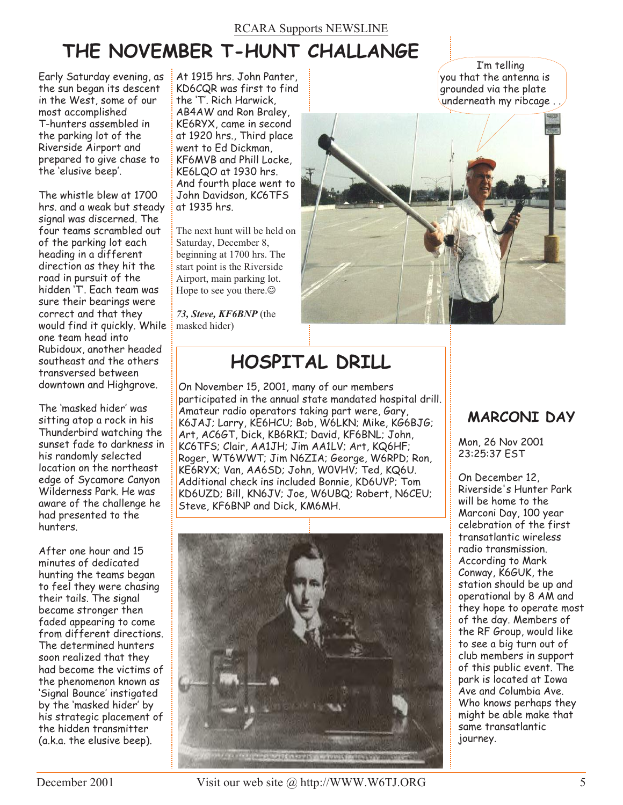### RCARA Supports NEWSLINE

# **THE NOVEMBER T-HUNT CHALLANGE**

Early Saturday evening, as the sun began its descent in the West, some of our most accomplished T-hunters assembled in the parking lot of the Riverside Airport and prepared to give chase to the 'elusive beep'.

The whistle blew at 1700 hrs. and a weak but steady signal was discerned. The four teams scrambled out of the parking lot each heading in a different direction as they hit the road in pursuit of the hidden 'T'. Each team was sure their bearings were correct and that they would find it quickly. While one team head into Rubidoux, another headed southeast and the others transversed between downtown and Highgrove.

The 'masked hider' was sitting atop a rock in his Thunderbird watching the sunset fade to darkness in his randomly selected location on the northeast edge of Sycamore Canyon Wilderness Park. He was aware of the challenge he had presented to the hunters.

After one hour and 15 minutes of dedicated hunting the teams began to feel they were chasing their tails. The signal became stronger then faded appearing to come from different directions. The determined hunters soon realized that they had become the victims of the phenomenon known as 'Signal Bounce' instigated by the 'masked hider' by his strategic placement of the hidden transmitter (a.k.a. the elusive beep).

At 1915 hrs. John Panter, KD6CQR was first to find the 'T'. Rich Harwick, AB4AW and Ron Braley, KE6RYX, came in second at 1920 hrs., Third place went to Ed Dickman, KF6MVB and Phill Locke, KE6LQO at 1930 hrs. And fourth place went to John Davidson, KC6TFS at 1935 hrs.

The next hunt will be held on Saturday, December 8, beginning at 1700 hrs. The start point is the Riverside Airport, main parking lot. Hope to see you there. $\odot$ 

*73, Steve, KF6BNP* (the masked hider)



# **HOSPITAL DRILL**

On November 15, 2001, many of our members participated in the annual state mandated hospital drill. Amateur radio operators taking part were, Gary, K6JAJ; Larry, KE6HCU; Bob, W6LKN; Mike, KG6BJG; Art, AC6GT, Dick, KB6RKI; David, KF6BNL; John, KC6TFS; Clair, AA1JH; Jim AA1LV; Art, KQ6HF; Roger, WT6WWT; Jim N6ZIA; George, W6RPD; Ron, KE6RYX; Van, AA6SD; John, W0VHV; Ted, KQ6U. Additional check ins included Bonnie, KD6UVP; Tom KD6UZD; Bill, KN6JV; Joe, W6UBQ; Robert, N6CEU; Steve, KF6BNP and Dick, KM6MH.



## **MARCONI DAY**

Mon, 26 Nov 2001 23:25:37 EST

I'm telling

On December 12, Riverside's Hunter Park will be home to the Marconi Day, 100 year celebration of the first transatlantic wireless radio transmission. According to Mark Conway, K6GUK, the station should be up and operational by 8 AM and they hope to operate most of the day. Members of the RF Group, would like to see a big turn out of club members in support of this public event. The park is located at Iowa Ave and Columbia Ave. Who knows perhaps they might be able make that same transatlantic journey.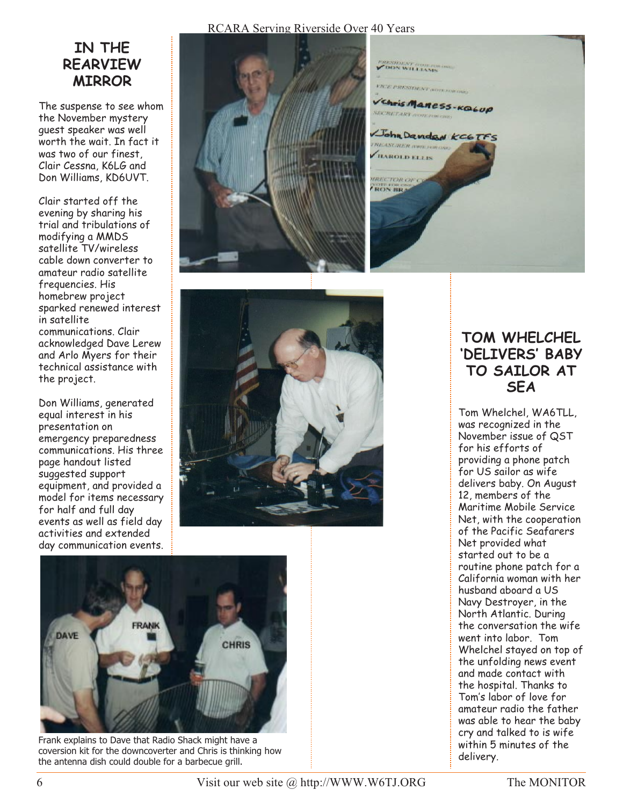## **IN THE REARVIEW MIRROR**

The suspense to see whom the November mystery guest speaker was well worth the wait. In fact it was two of our finest, Clair Cessna, K6LG and Don Williams, KD6UVT.

Clair started off the evening by sharing his trial and tribulations of modifying a MMDS satellite TV/wireless cable down converter to amateur radio satellite frequencies. His homebrew project sparked renewed interest in satellite communications. Clair acknowledged Dave Lerew and Arlo Myers for their technical assistance with the project.

Don Williams, generated equal interest in his presentation on emergency preparedness communications. His three page handout listed suggested support equipment, and provided a model for items necessary for half and full day events as well as field day activities and extended day communication events.



RCARA Serving Riverside Over 40 Years







Frank explains to Dave that Radio Shack might have a coversion kit for the downcoverter and Chris is thinking how the antenna dish could double for a barbecue grill.

## **TOM WHELCHEL 'DELIVERS' BABY TO SAILOR AT SEA**

Tom Whelchel, WA6TLL, was recognized in the November issue of QST for his efforts of providing a phone patch for US sailor as wife delivers baby. On August 12, members of the Maritime Mobile Service Net, with the cooperation of the Pacific Seafarers Net provided what started out to be a routine phone patch for a California woman with her husband aboard a US Navy Destroyer, in the North Atlantic. During the conversation the wife went into labor. Tom Whelchel stayed on top of the unfolding news event and made contact with the hospital. Thanks to Tom's labor of love for amateur radio the father was able to hear the baby cry and talked to is wife within 5 minutes of the delivery.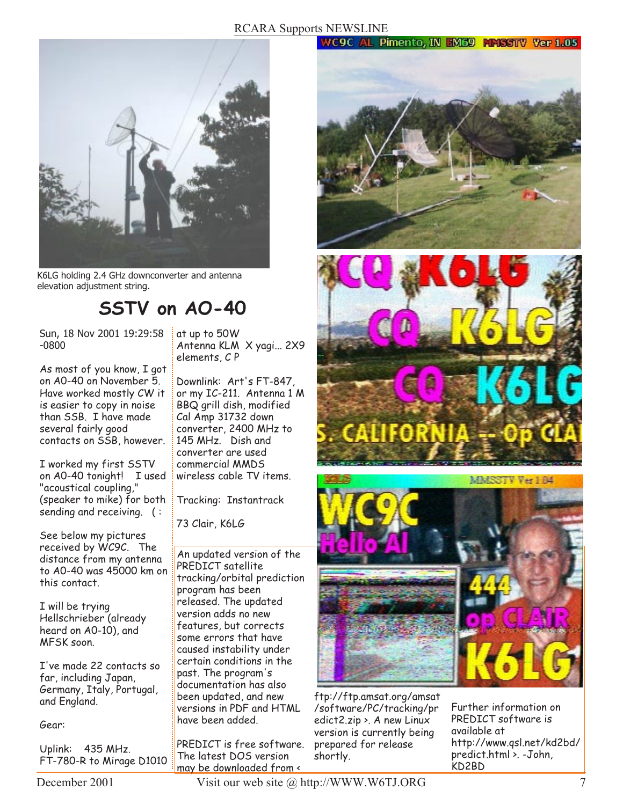### RCARA Supports NEWSLINE

#### **WC9C AL Pimento, IN EM69 MMSSTV Ver 1.05**



K6LG holding 2.4 GHz downconverter and antenna elevation adjustment string.

## **SSTV on AO-40**

Sun, 18 Nov 2001 19:29:58 -0800

As most of you know, I got on A0-40 on November 5. Have worked mostly CW it is easier to copy in noise than SSB. I have made several fairly good contacts on SSB, however.

I worked my first SSTV on A0-40 tonight! I used "acoustical coupling," (speaker to mike) for both sending and receiving. ( :

See below my pictures received by WC9C. The distance from my antenna to A0-40 was 45000 km on this contact.

I will be trying Hellschrieber (already heard on A0-10), and MFSK soon.

I've made 22 contacts so far, including Japan, Germany, Italy, Portugal, and England.

Gear:

Uplink: 435 MHz. FT-780-R to Mirage D1010

at up to 50W Antenna KLM X yagi... 2X9 elements, C P

Downlink: Art's FT-847, or my IC-211. Antenna 1 M BBQ grill dish, modified Cal Amp 31732 down converter, 2400 MHz to 145 MHz. Dish and converter are used commercial MMDS wireless cable TV items.

Tracking: Instantrack

73 Clair, K6LG

An updated version of the PREDICT satellite tracking/orbital prediction program has been released. The updated version adds no new features, but corrects some errors that have caused instability under certain conditions in the past. The program's documentation has also been updated, and new versions in PDF and HTML have been added.

PREDICT is free software. The latest DOS version may be downloaded from <







ftp://ftp.amsat.org/amsat /software/PC/tracking/pr edict2.zip >. A new Linux version is currently being prepared for release shortly.

Further information on PREDICT software is available at http://www.qsl.net/kd2bd/ predict.html >. -John, KD2BD

December 2001 Visit our web site @ http://WWW.W6TJ.ORG 7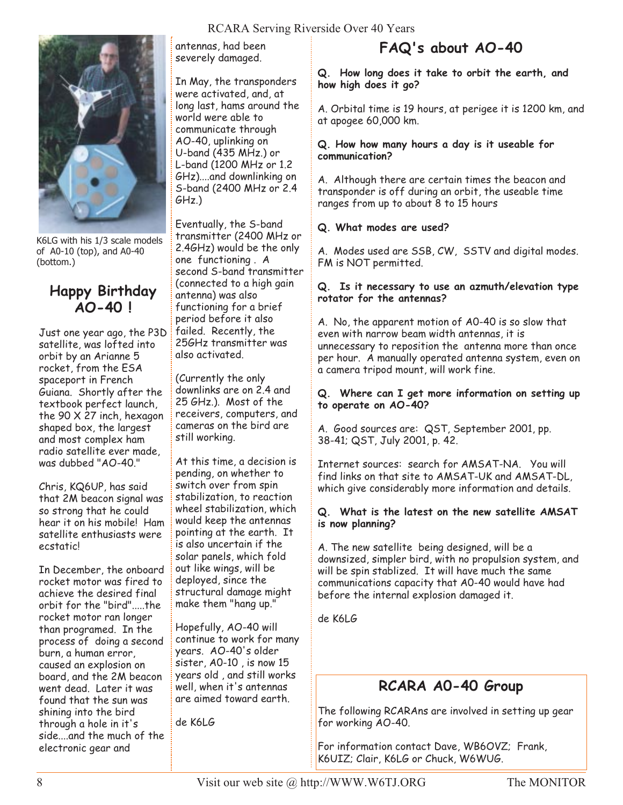### RCARA Serving Riverside Over 40 Years



K6LG with his 1/3 scale models of A0-10 (top), and A0-40 (bottom.)

## **Happy Birthday AO-40 !**

Just one year ago, the P3D satellite, was lofted into orbit by an Arianne 5 rocket, from the ESA spaceport in French Guiana. Shortly after the textbook perfect launch, the 90 X 27 inch, hexagon shaped box, the largest and most complex ham radio satellite ever made, was dubbed "AO-40."

Chris, KQ6UP, has said that 2M beacon signal was so strong that he could hear it on his mobile! Ham satellite enthusiasts were ecstatic!

In December, the onboard rocket motor was fired to achieve the desired final orbit for the "bird".....the rocket motor ran longer than programed. In the process of doing a second burn, a human error, caused an explosion on board, and the 2M beacon went dead. Later it was found that the sun was shining into the bird through a hole in it's side....and the much of the electronic gear and

antennas, had been severely damaged.

In May, the transponders were activated, and, at long last, hams around the world were able to communicate through AO-40, uplinking on U-band (435 MHz.) or L-band (1200 MHz or 1.2 GHz)....and downlinking on S-band (2400 MHz or 2.4 GHz.)

Eventually, the S-band transmitter (2400 MHz or 2.4GHz) would be the only one functioning . A second S-band transmitter (connected to a high gain antenna) was also functioning for a brief period before it also failed. Recently, the 25GHz transmitter was also activated.

(Currently the only downlinks are on 2.4 and 25 GHz.). Most of the receivers, computers, and cameras on the bird are still working.

At this time, a decision is pending, on whether to switch over from spin stabilization, to reaction wheel stabilization, which would keep the antennas pointing at the earth. It is also uncertain if the solar panels, which fold out like wings, will be deployed, since the structural damage might make them "hang up."

Hopefully, AO-40 will continue to work for many years. AO-40's older sister, A0-10 , is now 15 years old , and still works well, when it's antennas are aimed toward earth.

de K6LG

## **FAQ's about AO-40**

**Q. How long does it take to orbit the earth, and how high does it go?**

A. Orbital time is 19 hours, at perigee it is 1200 km, and at apogee 60,000 km.

#### **Q. How how many hours a day is it useable for communication?**

A. Although there are certain times the beacon and transponder is off during an orbit, the useable time ranges from up to about 8 to 15 hours

#### **Q. What modes are used?**

A. Modes used are SSB, CW, SSTV and digital modes. FM is NOT permitted.

#### **Q. Is it necessary to use an azmuth/elevation type rotator for the antennas?**

A. No, the apparent motion of A0-40 is so slow that even with narrow beam width antennas, it is unnecessary to reposition the antenna more than once per hour. A manually operated antenna system, even on a camera tripod mount, will work fine.

#### **Q. Where can I get more information on setting up to operate on AO-40?**

A. Good sources are: QST, September 2001, pp. 38-41; QST, July 2001, p. 42.

Internet sources: search for AMSAT-NA. You will find links on that site to AMSAT-UK and AMSAT-DL, which give considerably more information and details.

#### **Q. What is the latest on the new satellite AMSAT is now planning?**

A. The new satellite being designed, will be a downsized, simpler bird, with no propulsion system, and will be spin stablized. It will have much the same communications capacity that A0-40 would have had before the internal explosion damaged it.

de K6LG

## **RCARA A0-40 Group**

The following RCARAns are involved in setting up gear for working AO-40.

For information contact Dave, WB6OVZ; Frank, K6UIZ; Clair, K6LG or Chuck, W6WUG.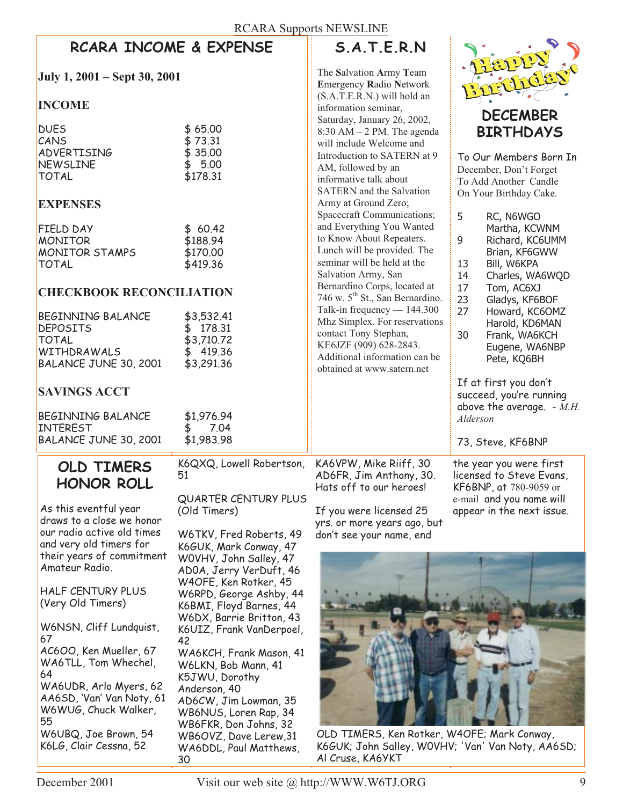| <b>RCARA Supports NEWSLINE</b>                                                                                                                             |                                                                                                                                                                                |                                                                                                                                                                                                            |                                                  |  |  |  |  |  |
|------------------------------------------------------------------------------------------------------------------------------------------------------------|--------------------------------------------------------------------------------------------------------------------------------------------------------------------------------|------------------------------------------------------------------------------------------------------------------------------------------------------------------------------------------------------------|--------------------------------------------------|--|--|--|--|--|
|                                                                                                                                                            | <b>RCARA INCOME &amp; EXPENSE</b>                                                                                                                                              | S.A.T.E.R.N                                                                                                                                                                                                |                                                  |  |  |  |  |  |
| July 1, 2001 – Sept 30, 2001                                                                                                                               | The Salvation Army Team<br><b>Emergency Radio Network</b>                                                                                                                      |                                                                                                                                                                                                            |                                                  |  |  |  |  |  |
| <b>INCOME</b>                                                                                                                                              |                                                                                                                                                                                | (S.A.T.E.R.N.) will hold an<br>information seminar,                                                                                                                                                        |                                                  |  |  |  |  |  |
| <b>DUES</b><br>CANS<br><b>ADVERTISING</b><br>NEWSLINE<br><b>TOTAL</b>                                                                                      | \$65.00<br>\$73.31<br>\$35.00<br>\$5.00<br>\$178.31                                                                                                                            | Saturday, January 26, 2002,<br>$8:30$ AM $-2$ PM. The agenda<br>will include Welcome and<br>Introduction to SATERN at 9<br>AM, followed by an<br>informative talk about<br><b>SATERN</b> and the Salvation | <b>B1</b><br>To Our<br>Decemb<br>To Add          |  |  |  |  |  |
| <b>EXPENSES</b>                                                                                                                                            |                                                                                                                                                                                | Army at Ground Zero;<br>Spacecraft Communications;                                                                                                                                                         | On You                                           |  |  |  |  |  |
| FIELD DAY<br><b>MONITOR</b><br>MONITOR STAMPS<br><b>TOTAL</b>                                                                                              | \$60.42<br>\$188.94<br>\$170.00<br>\$419.36                                                                                                                                    | and Everything You Wanted<br>to Know About Repeaters.<br>Lunch will be provided. The<br>seminar will be held at the<br>Salvation Army, San                                                                 | 5<br>F<br>Ŋ<br>9<br>F<br>E<br>E<br>13<br>14<br>C |  |  |  |  |  |
| <b>CHECKBOOK RECONCILIATION</b>                                                                                                                            |                                                                                                                                                                                | Bernardino Corps, located at<br>746 w. 5 <sup>th</sup> St., San Bernardino.                                                                                                                                | 17<br>٦<br>23<br>C                               |  |  |  |  |  |
| <b>BEGINNING BALANCE</b><br><b>DEPOSITS</b><br><b>TOTAL</b><br>WITHDRAWALS<br>BALANCE JUNE 30, 2001                                                        | \$3,532.41<br>178.31<br>\$.<br>\$3,710.72<br>419.36<br>\$3,291.36                                                                                                              | Talk-in frequency $- 144.300$<br>Mhz Simplex. For reservations<br>contact Tony Stephan,<br>KE6JZF (909) 628-2843.<br>Additional information can be<br>obtained at www.satern.net                           | 27<br>ŀ<br>ŀ<br>30<br>F<br>E<br>F                |  |  |  |  |  |
| <b>SAVINGS ACCT</b>                                                                                                                                        |                                                                                                                                                                                |                                                                                                                                                                                                            | If at f<br><b>SUCCEE</b>                         |  |  |  |  |  |
| <b>BEGINNING BALANCE</b><br>INTEREST<br>BALANCE JUNE 30, 2001                                                                                              | \$1,976.94<br>7.04<br>\$1,983.98                                                                                                                                               |                                                                                                                                                                                                            | above 1<br>Aldersoi<br>73, Ste                   |  |  |  |  |  |
| OLD TIMERS<br><b>HONOR ROLL</b>                                                                                                                            | K6QXQ, Lowell Robertson,<br>51                                                                                                                                                 | KA6VPW, Mike Riiff, 30<br>AD6FR, Jim Anthony, 30.<br>Hats off to our heroes!                                                                                                                               | the year<br>licensed<br>KF6BNP                   |  |  |  |  |  |
| As this eventful year<br>draws to a close we honor<br>our radio active old times<br>and very old timers for<br>their years of commitment<br>Amateur Radio. | <b>QUARTER CENTURY PLUS</b><br>(Old Timers)<br>W6TKV, Fred Roberts, 49<br>K6GUK, Mark Conway, 47<br>WOVHV, John Salley, 47<br>ADOA, Jerry VerDuft, 46<br>W4OFE, Ken Rotker, 45 | If you were licensed 25<br>yrs. or more years ago, but<br>don't see your name, end                                                                                                                         | e-mail a<br>appear i                             |  |  |  |  |  |
| HALF CENTURY PLUS                                                                                                                                          | W6RPD, George Ashby, 44                                                                                                                                                        |                                                                                                                                                                                                            |                                                  |  |  |  |  |  |



Members Born In ber, Don't Forget Another Candle r Birthday Cake.

|                   | Spacecraft Communications;<br>and Everything You Wanted<br>to Know About Repeaters.<br>Lunch will be provided. The<br>seminar will be held at the<br>Salvation Army, San<br>Bernardino Corps, located at<br>746 w. 5 <sup>th</sup> St., San Bernardino.<br>Talk-in frequency $- 144.300$<br>Mhz Simplex. For reservations<br>contact Tony Stephan,<br>KE6JZF (909) 628-2843.<br>Additional information can be<br>obtained at www.satern.net | 5<br>RC, N6WGO<br>Martha, KCWNM<br>9<br>Richard, KC6UMM<br>Brian, KF6GWW<br>13<br>Bill, W6KPA<br>14<br>Charles, WA6WQD<br>17<br>Tom, AC6XJ<br>23<br>Gladys, KF6BOF<br>27<br>Howard, KC6OMZ<br>Harold, KD6MAN<br>30<br>Frank, WA6KCH<br>Eugene, WA6NBP<br>Pete, KQ6BH<br>If at first you don't<br>succeed, you're running<br>above the average. - M.H.<br>Alderson<br>73, Steve, KF6BNP |
|-------------------|---------------------------------------------------------------------------------------------------------------------------------------------------------------------------------------------------------------------------------------------------------------------------------------------------------------------------------------------------------------------------------------------------------------------------------------------|----------------------------------------------------------------------------------------------------------------------------------------------------------------------------------------------------------------------------------------------------------------------------------------------------------------------------------------------------------------------------------------|
| ertson,<br>Y PLUS | KA6VPW, Mike Riiff, 30<br>AD6FR, Jim Anthony, 30.<br>Hats off to our heroes!<br>If you were licensed 25<br>yrs. or more years ago, but                                                                                                                                                                                                                                                                                                      | the year you were first<br>licensed to Steve Evans,<br><b>KF6BNP, at 780-9059 or</b><br>e-mail and you name will<br>appear in the next issue.                                                                                                                                                                                                                                          |

(Very Old Timers)

W6NSN, Cliff Lundquist, 67 AC6OO, Ken Mueller, 67 WA6TLL, Tom Whechel, 64 WA6UDR, Arlo Myers, 62 AA6SD, 'Van' Van Noty, 61 W6WUG, Chuck Walker, 55 W6UBQ, Joe Brown, 54 K6LG, Clair Cessna, 52

W6RPD, George Ashby, 44 K6BMI, Floyd Barnes, 44 W6DX, Barrie Britton, 43 K6UIZ, Frank VanDerpoel, 42 WA6KCH, Frank Mason, 41 W6LKN, Bob Mann, 41 K5JWU, Dorothy Anderson, 40 AD6CW, Jim Lowman, 35 WB6NUS, Loren Rap, 34 WB6FKR, Don Johns, 32 WB6OVZ, Dave Lerew,31 WA6DDL, Paul Matthews, 30



OLD TIMERS, Ken Rotker, W4OFE; Mark Conway, K6GUK; John Salley, W0VHV; 'Van' Van Noty, AA6SD; Al Cruse, KA6YKT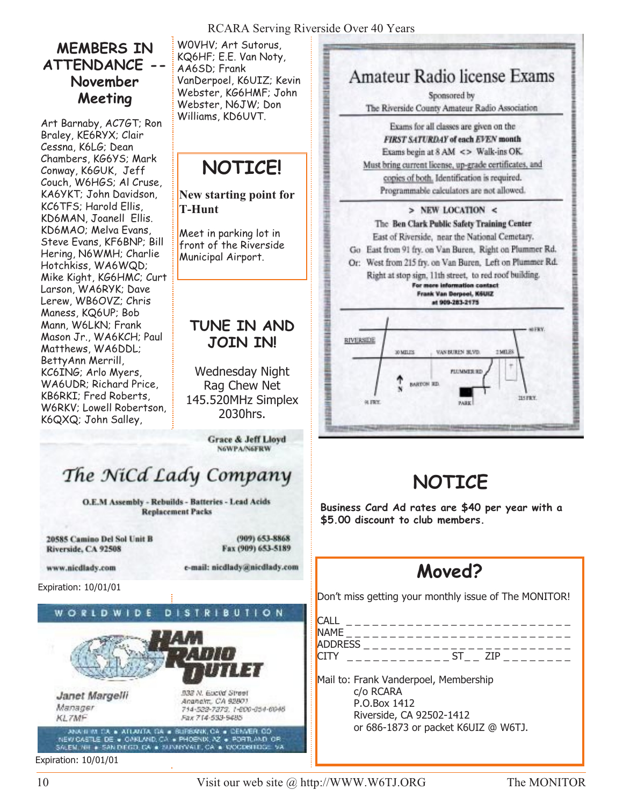## **MEMBERS IN ATTENDANCE -- November Meeting**

Art Barnaby, AC7GT; Ron Braley, KE6RYX; Clair Cessna, K6LG; Dean Chambers, KG6YS; Mark Conway, K6GUK, Jeff Couch, W6HGS; Al Cruse, KA6YKT; John Davidson, KC6TFS; Harold Ellis, KD6MAN, Joanell Ellis. KD6MAO; Melva Evans, Steve Evans, KF6BNP; Bill Hering, N6WMH; Charlie Hotchkiss, WA6WQD; Mike Kight, KG6HMC; Curt Larson, WA6RYK; Dave Lerew, WB6OVZ; Chris Maness, KQ6UP; Bob Mann, W6LKN; Frank Mason Jr., WA6KCH; Paul Matthews, WA6DDL; BettyAnn Merrill, KC6ING; Arlo Myers, WA6UDR; Richard Price, KB6RKI; Fred Roberts, W6RKV; Lowell Robertson, K6QXQ; John Salley,

W0VHV; Art Sutorus, KQ6HF; E.E. Van Noty, AA6SD; Frank VanDerpoel, K6UIZ; Kevin Webster, KG6HMF; John Webster, N6JW; Don Williams, KD6UVT.

# **NOTICE!**

**New starting point for T-Hunt**

Meet in parking lot in front of the Riverside Municipal Airport.

## **TUNE IN AND JOIN IN!**

Wednesday Night Rag Chew Net 145.520MHz Simplex 2030hrs.

> Grace & Jeff Lloyd **N6WPA/N6FRW**

# The NiCd Lady Company

O.E.M Assembly - Rebuilds - Batteries - Lead Acids **Replacement Packs** 

20585 Camino Del Sol Unit B Riverside, CA 92508

 $(909)$  653-8868 Fax (909) 653-5189

e-mail: nicdlady@nicdlady.com

www.nicdlady.com

Expiration: 10/01/01

#### **DISTRIBUTION** WORLDWI D F



Janet Margelli Manager **KL7MF** 

933 N. Euclid Street Ananalm, CA 92801. 714-522-7373, 1-800-054-6048 Fax 714-533-5485

ANATION CA = ATLANTA CA = BURSANA, CA = DEMARA, CO<br>NEW CASTLE DE = CAKLAND, CA = PHOENIX, AZ = PORTLAND CR<br>SALEM, NH = SANDIEGO, CA = SUNNYVALE, CA = VOCOBITION: VA

Expiration: 10/01/01



Amateur Radio license Exams Sponsored by

# **NOTICE**

**Business Card Ad rates are \$40 per year with a \$5.00 discount to club members.**

# **Moved?**

Don't miss getting your monthly issue of The MONITOR!

| CALL           |                   |                            |
|----------------|-------------------|----------------------------|
| <b>NAME</b>    | _________________ |                            |
| <b>ADDRESS</b> |                   | __________________________ |
| CITY           |                   | -71P                       |
|                |                   |                            |

Mail to: Frank Vanderpoel, Membership c/o RCARA P.O.Box 1412 Riverside, CA 92502-1412 or 686-1873 or packet K6UIZ @ W6TJ.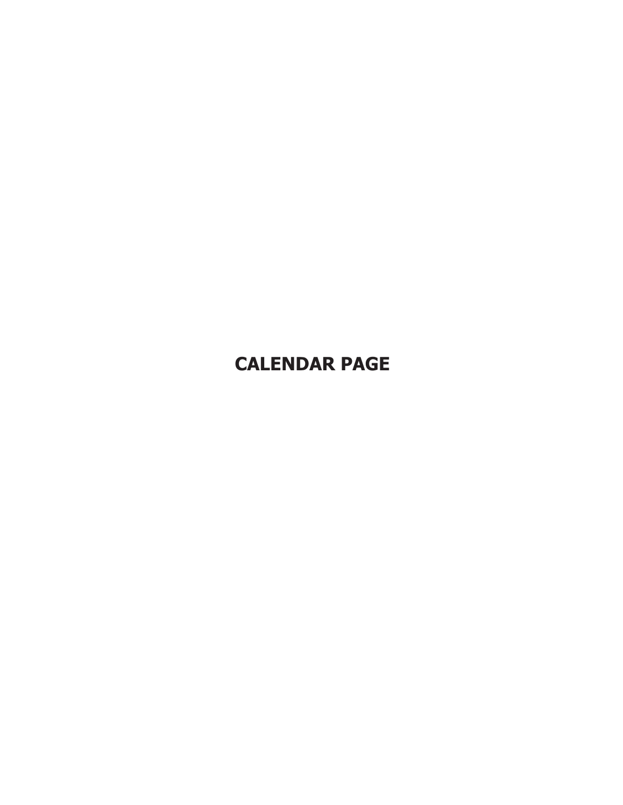# **CALENDAR PAGE**